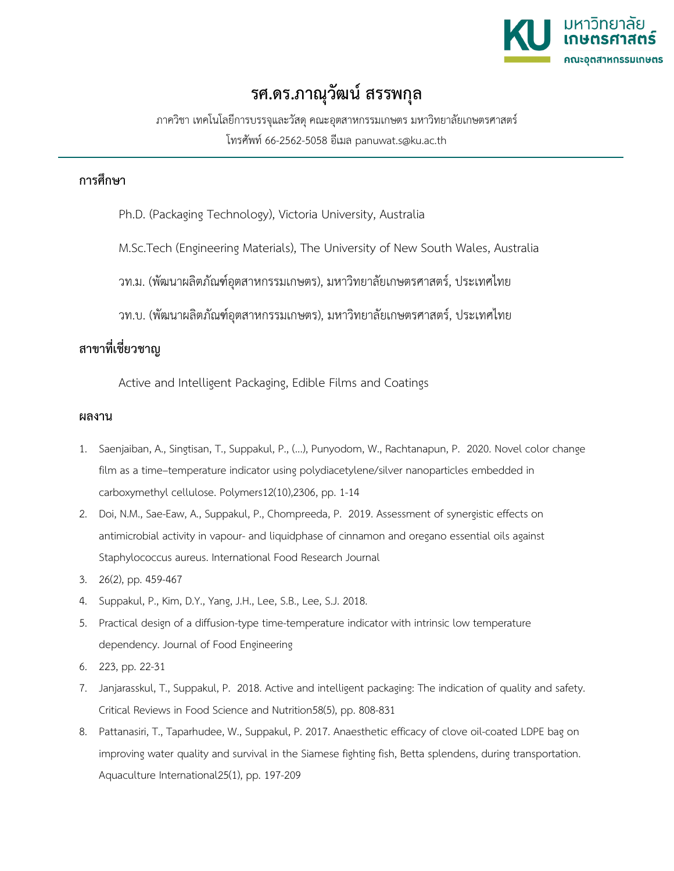

## **รศ.ดร.ภาณุวัฒน สรรพกุล**

ภาควิชา เทคโนโลยีการบรรจุและวัสดุคณะอุตสาหกรรมเกษตร มหาวิทยาลัยเกษตรศาสตร โทรศัพท 66-2562-5058 อีเมล panuwat.s@ku.ac.th

## **การศึกษา**

- Ph.D. (Packaging Technology), Victoria University, Australia
- M.Sc.Tech (Engineering Materials), The University of New South Wales, Australia
- วท.ม. (พัฒนาผลิตภัณฑอุตสาหกรรมเกษตร), มหาวิทยาลัยเกษตรศาสตร, ประเทศไทย
- วท.บ. (พัฒนาผลิตภัณฑอุตสาหกรรมเกษตร), มหาวิทยาลัยเกษตรศาสตร, ประเทศไทย

## **สาขาที่เชี่ยวชาญ**

Active and Intelligent Packaging, Edible Films and Coatings

## **ผลงาน**

- 1. Saenjaiban, A., Singtisan, T., Suppakul, P., (...), Punyodom, W., Rachtanapun, P. 2020. Novel color change film as a time–temperature indicator using polydiacetylene/silver nanoparticles embedded in carboxymethyl cellulose. Polymers12(10),2306, pp. 1-14
- 2. Doi, N.M., Sae-Eaw, A., Suppakul, P., Chompreeda, P. 2019. Assessment of synergistic effects on antimicrobial activity in vapour- and liquidphase of cinnamon and oregano essential oils against Staphylococcus aureus. International Food Research Journal
- 3. 26(2), pp. 459-467
- 4. Suppakul, P., Kim, D.Y., Yang, J.H., Lee, S.B., Lee, S.J. 2018.
- 5. Practical design of a diffusion-type time-temperature indicator with intrinsic low temperature dependency. Journal of Food Engineering
- 6. 223, pp. 22-31
- 7. Janjarasskul, T., Suppakul, P. 2018. Active and intelligent packaging: The indication of quality and safety. Critical Reviews in Food Science and Nutrition58(5), pp. 808-831
- 8. Pattanasiri, T., Taparhudee, W., Suppakul, P. 2017. Anaesthetic efficacy of clove oil-coated LDPE bag on improving water quality and survival in the Siamese fighting fish, Betta splendens, during transportation. Aquaculture International25(1), pp. 197-209